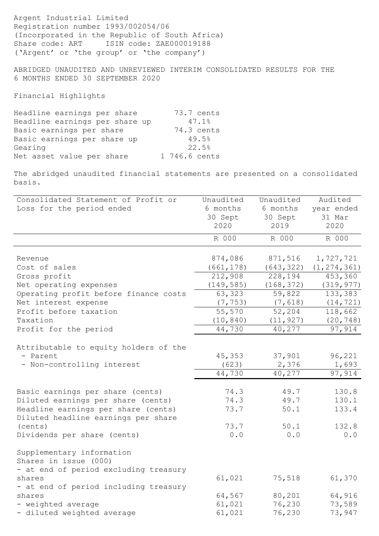Argent Industrial Limited Registration number 1993/002054/06 (Incorporated in the Republic of South Africa) Share code: ART ISIN code: ZAE000019188 ('Argent' or 'the group' or 'the company')

ABRIDGED UNAUDITED AND UNREVIEWED INTERIM CONSOLIDATED RESULTS FOR THE 6 MONTHS ENDED 30 SEPTEMBER 2020

Financial Highlights

| 73.7 cents    |
|---------------|
| 47.1%         |
| 74.3 cents    |
| 49.5%         |
| 22.5%         |
| 1 746.6 cents |
|               |

The abridged unaudited financial statements are presented on a consolidated basis.

| Consolidated Statement of Profit or                                                         | Unaudited  | Unaudited  | Audited       |
|---------------------------------------------------------------------------------------------|------------|------------|---------------|
| Loss for the period ended                                                                   | 6 months   | 6 months   | year ended    |
|                                                                                             | 30 Sept    | 30 Sept    | 31 Mar        |
|                                                                                             | 2020       | 2019       | 2020          |
|                                                                                             | R 000      | R 000      | R 000         |
| Revenue                                                                                     | 874,086    | 871,516    | 1,727,721     |
| Cost of sales                                                                               | (661, 178) | (643, 322) | (1, 274, 361) |
| Gross profit                                                                                | 212,908    | 228,194    | 453,360       |
| Net operating expenses                                                                      | (149, 585) | (168, 372) | (319, 977)    |
| Operating profit before finance costs                                                       | 63,323     | 59,822     | 133,383       |
| Net interest expense                                                                        | (7, 753)   | (7, 618)   | (14, 721)     |
| Profit before taxation                                                                      | 55,570     | 52,204     | 118,662       |
| Taxation                                                                                    | (10, 840)  | (11, 927)  | (20, 748)     |
| Profit for the period                                                                       | 44,730     | 40,277     | 97,914        |
| Attributable to equity holders of the                                                       |            |            |               |
| - Parent                                                                                    | 45,353     | 37,901     | 96,221        |
| - Non-controlling interest                                                                  | (623)      | 2,376      | 1,693         |
|                                                                                             | 44,730     | 40,277     | 97,914        |
| Basic earnings per share (cents)                                                            | 74.3       | 49.7       | 130.8         |
| Diluted earnings per share (cents)                                                          | 74.3       | 49.7       | 130.1         |
| Headline earnings per share (cents)<br>Diluted headline earnings per share                  | 73.7       | 50.1       | 133.4         |
| (cents)                                                                                     | 73.7       | 50.1       | 132.8         |
| Dividends per share (cents)                                                                 | 0.0        | 0.0        | 0.0           |
| Supplementary information<br>Shares in issue (000)<br>- at end of period excluding treasury |            |            |               |
| shares                                                                                      | 61,021     | 75,518     | 61,370        |
| - at end of period including treasury                                                       |            |            |               |
| shares                                                                                      | 64,567     | 80,201     | 64,916        |
| - weighted average                                                                          | 61,021     | 76,230     | 73,589        |
| - diluted weighted average                                                                  | 61,021     | 76,230     | 73,947        |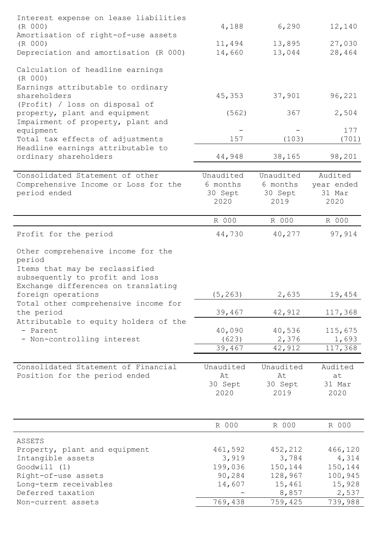| Interest expense on lease liabilities                           |                 |                 |                |
|-----------------------------------------------------------------|-----------------|-----------------|----------------|
| (R 000)                                                         | 4,188           | 6,290           | 12,140         |
| Amortisation of right-of-use assets                             |                 |                 |                |
| (R 000)                                                         | 11,494          | 13,895          | 27,030         |
| Depreciation and amortisation (R 000)                           | 14,660          | 13,044          | 28,464         |
| Calculation of headline earnings                                |                 |                 |                |
| (R 000)                                                         |                 |                 |                |
| Earnings attributable to ordinary                               |                 |                 |                |
| shareholders                                                    | 45,353          | 37,901          | 96,221         |
| (Profit) / loss on disposal of<br>property, plant and equipment | (562)           | 367             | 2,504          |
| Impairment of property, plant and                               |                 |                 |                |
| equipment                                                       |                 |                 | 177            |
| Total tax effects of adjustments                                | 157             | (103)           | (701)          |
| Headline earnings attributable to                               |                 |                 |                |
| ordinary shareholders                                           | 44,948          | 38,165          | 98,201         |
|                                                                 |                 |                 |                |
| Consolidated Statement of other                                 | Unaudited       | Unaudited       | Audited        |
| Comprehensive Income or Loss for the                            | 6 months        | 6 months        | year ended     |
| period ended                                                    | 30 Sept<br>2020 | 30 Sept<br>2019 | 31 Mar<br>2020 |
|                                                                 |                 |                 |                |
|                                                                 | R 000           | R 000           | R 000          |
| Profit for the period                                           | 44,730          | 40,277          | 97,914         |
|                                                                 |                 |                 |                |
| Other comprehensive income for the                              |                 |                 |                |
| period<br>Items that may be reclassified                        |                 |                 |                |
| subsequently to profit and loss                                 |                 |                 |                |
| Exchange differences on translating                             |                 |                 |                |
| foreign operations                                              | (5, 263)        | 2,635           | 19,454         |
| Total other comprehensive income for                            |                 |                 |                |
| the period                                                      | 39,467          | 42,912          | 117,368        |
| Attributable to equity holders of the                           |                 |                 |                |
| - Parent                                                        | 40,090          | 40,536          | 115,675        |
| - Non-controlling interest                                      | (623)           | 2,376           | 1,693          |
|                                                                 | 39,467          | 42,912          | 117,368        |
| Consolidated Statement of Financial                             | Unaudited       | Unaudited       | Audited        |
| Position for the period ended                                   | At              | At              | at             |
|                                                                 | 30 Sept         | 30 Sept         | 31 Mar         |
|                                                                 | 2020            | 2019            | 2020           |
|                                                                 |                 |                 |                |
|                                                                 |                 |                 |                |
|                                                                 | R 000           | R 000           | R 000          |
| ASSETS                                                          |                 |                 |                |
| Property, plant and equipment                                   | 461,592         | 452,212         | 466,120        |
| Intangible assets                                               | 3,919           | 3,784           | 4,314          |
| Good will (1)                                                   | 199,036         | 150,144         | 150,144        |
| Right-of-use assets                                             | 90,284          | 128,967         | 100,945        |
| Long-term receivables                                           | 14,607          | 15,461          | 15,928         |
| Deferred taxation                                               |                 | 8,857           | 2,537          |
| Non-current assets                                              | 769,438         | 759,425         | 739,988        |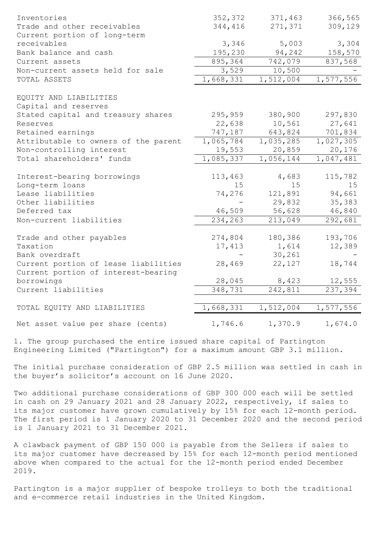| Inventories<br>Trade and other receivables                           | 352,372<br>344,416 | 371,463<br>271,371     | 366,565<br>309,129 |
|----------------------------------------------------------------------|--------------------|------------------------|--------------------|
| Current portion of long-term<br>receivables<br>Bank balance and cash | 3,346<br>195,230   | 5,003<br>94,242        | 3,304<br>158,570   |
| Current assets                                                       | 895, 364           | 742,079                | 837,568            |
| Non-current assets held for sale                                     | 3,529              | 10,500                 |                    |
| TOTAL ASSETS                                                         | 1,668,331          | 1,512,004              | 1,577,556          |
| EQUITY AND LIABILITIES                                               |                    |                        |                    |
| Capital and reserves                                                 |                    |                        |                    |
| Stated capital and treasury shares                                   | 295,959            | 380,900                | 297,830            |
| Reserves                                                             | 22,638             | 10,561                 | 27,641             |
| Retained earnings                                                    | 747,187            | 643,824                | 701,834            |
| Attributable to owners of the parent                                 | 1,065,784          | $\overline{1,}035,285$ | 1,027,305          |
| Non-controlling interest                                             | 19,553             | 20,859                 | 20,176             |
| Total shareholders' funds                                            | 1,085,337          | 1,056,144              | 1,047,481          |
| Interest-bearing borrowings                                          | 113,463            | 4,683                  | 115,782            |
| Long-term loans                                                      | 15                 | 15                     | 15                 |
| Lease liabilities                                                    | 74,276             | 121,891                | 94,661             |
| Other liabilities                                                    |                    | 29,832                 | 35,383             |
| Deferred tax                                                         | 46,509             | 56,628                 | 46,840             |
| Non-current liabilities                                              | 234,263            | 213,049                | 292,681            |
|                                                                      |                    |                        |                    |
| Trade and other payables<br>Taxation                                 | 274,804<br>17,413  | 180,386<br>1,614       | 193,706            |
| Bank overdraft                                                       |                    | 30,261                 | 12,389             |
| Current portion of lease liabilities                                 | 28,469             | 22,127                 | 18,744             |
| Current portion of interest-bearing                                  |                    |                        |                    |
| borrowings                                                           | 28,045             | 8,423                  | 12,555             |
| Current liabilities                                                  | 348,731            | 242,811                | 237, 394           |
|                                                                      |                    |                        |                    |
| TOTAL EQUITY AND LIABILITIES                                         | 1,668,331          | 1,512,004              | 1,577,556          |
| Net asset value per share (cents)                                    | 1,746.6            | 1,370.9                | 1,674.0            |

1. The group purchased the entire issued share capital of Partington Engineering Limited ("Partington") for a maximum amount GBP 3.1 million.

The initial purchase consideration of GBP 2.5 million was settled in cash in the buyer's solicitor's account on 16 June 2020.

Two additional purchase considerations of GBP 300 000 each will be settled in cash on 29 January 2021 and 28 January 2022, respectively, if sales to its major customer have grown cumulatively by 15% for each 12-month period. The first period is 1 January 2020 to 31 December 2020 and the second period is 1 January 2021 to 31 December 2021.

A clawback payment of GBP 150 000 is payable from the Sellers if sales to its major customer have decreased by 15% for each 12-month period mentioned above when compared to the actual for the 12-month period ended December 2019.

Partington is a major supplier of bespoke trolleys to both the traditional and e-commerce retail industries in the United Kingdom.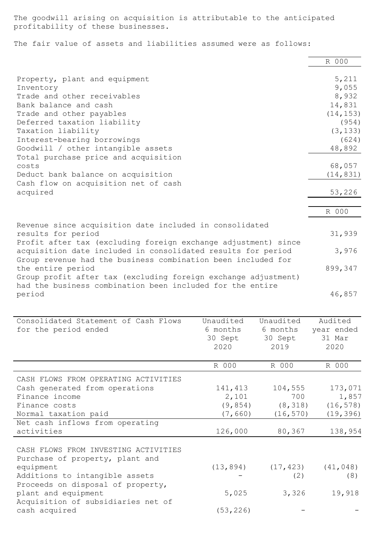The goodwill arising on acquisition is attributable to the anticipated profitability of these businesses.

The fair value of assets and liabilities assumed were as follows:

|                                                                |           |           | R 000          |
|----------------------------------------------------------------|-----------|-----------|----------------|
|                                                                |           |           |                |
| Property, plant and equipment                                  |           |           | 5,211          |
| Inventory<br>Trade and other receivables                       |           |           | 9,055<br>8,932 |
| Bank balance and cash                                          |           |           |                |
|                                                                |           |           | 14,831         |
| Trade and other payables                                       |           |           | (14, 153)      |
| Deferred taxation liability                                    |           |           | (954)          |
| Taxation liability                                             |           |           | (3, 133)       |
| Interest-bearing borrowings                                    |           |           | (624)          |
| Goodwill / other intangible assets                             |           |           | 48,892         |
| Total purchase price and acquisition                           |           |           |                |
| costs                                                          |           |           | 68,057         |
| Deduct bank balance on acquisition                             |           |           | (14, 831)      |
| Cash flow on acquisition net of cash                           |           |           |                |
| acquired                                                       |           |           | 53,226         |
|                                                                |           |           |                |
|                                                                |           |           | R 000          |
| Revenue since acquisition date included in consolidated        |           |           |                |
| results for period                                             |           |           | 31,939         |
| Profit after tax (excluding foreign exchange adjustment) since |           |           |                |
| acquisition date included in consolidated results for period   |           |           | 3,976          |
| Group revenue had the business combination been included for   |           |           |                |
| the entire period                                              |           |           | 899,347        |
| Group profit after tax (excluding foreign exchange adjustment) |           |           |                |
| had the business combination been included for the entire      |           |           |                |
| period                                                         |           |           | 46,857         |
|                                                                |           |           |                |
|                                                                |           |           |                |
| Consolidated Statement of Cash Flows                           | Unaudited | Unaudited | Audited        |
| for the period ended                                           | 6 months  | 6 months  | year ended     |
|                                                                | 30 Sept   | 30 Sept   | 31 Mar         |
|                                                                | 2020      | 2019      | 2020           |
|                                                                | R 000     | R 000     | R 000          |
|                                                                |           |           |                |
| CASH FLOWS FROM OPERATING ACTIVITIES                           |           |           |                |
| Cash generated from operations                                 | 141,413   | 104,555   | 173,071        |
| Finance income                                                 | 2,101     | 700       | 1,857          |
| Finance costs                                                  | (9, 854)  | (8, 318)  | (16, 578)      |
| Normal taxation paid                                           | (7, 660)  | (16, 570) | (19, 396)      |
| Net cash inflows from operating                                |           |           |                |
| activities                                                     | 126,000   | 80,367    | 138,954        |
|                                                                |           |           |                |
| CASH FLOWS FROM INVESTING ACTIVITIES                           |           |           |                |
| Purchase of property, plant and                                |           |           |                |
| equipment                                                      |           |           |                |
| Additions to intangible assets                                 | (13, 894) | (17, 423) | (41, 048)      |
|                                                                |           | (2)       | (8)            |
| Proceeds on disposal of property,                              |           |           |                |
| plant and equipment                                            | 5,025     | 3,326     | 19,918         |
| Acquisition of subsidiaries net of                             |           |           |                |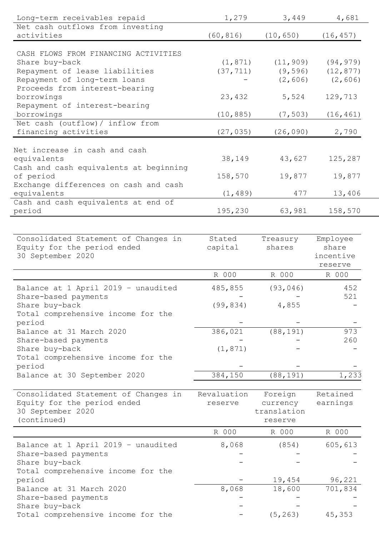| Long-term receivables repaid                  | 1,279       | 3,449       | 4,681     |
|-----------------------------------------------|-------------|-------------|-----------|
| Net cash outflows from investing              |             |             |           |
| activities                                    | (60, 816)   | (10, 650)   | (16, 457) |
|                                               |             |             |           |
| CASH FLOWS FROM FINANCING ACTIVITIES          |             |             |           |
| Share buy-back                                | (1, 871)    | (11, 909)   | (94, 979) |
| Repayment of lease liabilities                | (37, 711)   | (9, 596)    | (12, 877) |
| Repayment of long-term loans                  |             | (2, 606)    | (2, 606)  |
| Proceeds from interest-bearing                |             |             |           |
| borrowings                                    | 23,432      | 5,524       | 129,713   |
| Repayment of interest-bearing                 |             |             |           |
| borrowings                                    | (10, 885)   | (7, 503)    | (16, 461) |
| Net cash (outflow) / inflow from              |             |             |           |
| financing activities                          | (27, 035)   | (26, 090)   | 2,790     |
|                                               |             |             |           |
| Net increase in cash and cash                 |             |             |           |
| equivalents                                   | 38,149      | 43,627      | 125,287   |
| Cash and cash equivalents at beginning        |             |             |           |
| of period                                     | 158,570     | 19,877      | 19,877    |
| Exchange differences on cash and cash         |             |             |           |
| equivalents                                   | (1, 489)    | 477         | 13,406    |
| Cash and cash equivalents at end of<br>period | 195,230     | 63,981      | 158,570   |
|                                               |             |             |           |
|                                               |             |             |           |
| Consolidated Statement of Changes in          | Stated      | Treasury    | Employee  |
| Equity for the period ended                   | capital     | shares      | share     |
| 30 September 2020                             |             |             | incentive |
|                                               |             |             | reserve   |
|                                               | R 000       | R 000       | R 000     |
| Balance at 1 April 2019 - unaudited           | 485,855     | (93, 046)   | 452       |
| Share-based payments                          |             |             | 521       |
| Share buy-back                                | (99, 834)   | 4,855       |           |
| Total comprehensive income for the            |             |             |           |
| period                                        |             |             |           |
| Balance at 31 March 2020                      | 386,021     | (88, 191)   | 973       |
| Share-based payments                          |             |             | 260       |
| Share buy-back                                | (1, 871)    |             |           |
| Total comprehensive income for the            |             |             |           |
| period                                        |             |             |           |
| Balance at 30 September 2020                  | 384,150     | (88, 191)   | 1,233     |
|                                               |             |             |           |
| Consolidated Statement of Changes in          | Revaluation | Foreign     | Retained  |
| Equity for the period ended                   | reserve     | currency    | earnings  |
| 30 September 2020                             |             | translation |           |
| (continued)                                   |             | reserve     |           |
|                                               | R 000       | R 000       | R 000     |
|                                               |             |             |           |
| Balance at 1 April 2019 - unaudited           | 8,068       | (854)       | 605,613   |
| Share-based payments                          |             |             |           |
| Share buy-back                                |             |             |           |
| Total comprehensive income for the            |             |             |           |
| period                                        |             | 19,454      | 96,221    |
| Balance at 31 March 2020                      | 8,068       | 18,600      | 701,834   |
| Share-based payments                          |             |             |           |
| Share buy-back                                |             |             |           |
| Total comprehensive income for the            |             | (5, 263)    | 45,353    |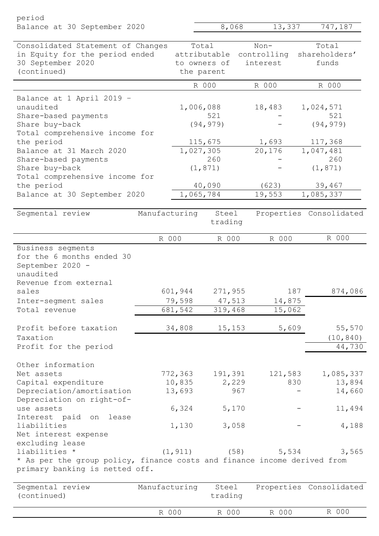| period                                                                                                     |               |           |                       |      |                       |     |                         |
|------------------------------------------------------------------------------------------------------------|---------------|-----------|-----------------------|------|-----------------------|-----|-------------------------|
| Balance at 30 September 2020                                                                               |               |           | 8,068                 |      | 13,337                |     | 747,187                 |
| Consolidated Statement of Changes<br>in Equity for the period ended                                        |               |           | Total<br>attributable |      | $Non-$<br>controlling |     | Total<br>shareholders'  |
| 30 September 2020                                                                                          |               |           | to owners of          |      | interest              |     | funds                   |
| (continued)                                                                                                |               |           | the parent            |      |                       |     |                         |
|                                                                                                            |               |           | R 000                 |      | R 000                 |     | R 000                   |
| Balance at 1 April 2019 -                                                                                  |               |           |                       |      |                       |     |                         |
| unaudited                                                                                                  |               | 1,006,088 |                       |      | 18,483                |     | 1,024,571               |
| Share-based payments                                                                                       |               |           | 521                   |      |                       |     | 521                     |
| Share buy-back                                                                                             |               |           | (94, 979)             |      |                       |     | (94, 979)               |
| Total comprehensive income for<br>the period                                                               |               |           | 115,675               |      | 1,693                 |     | 117,368                 |
| Balance at 31 March 2020                                                                                   |               | 1,027,305 |                       |      | 20,176                |     | 1,047,481               |
| Share-based payments                                                                                       |               |           | 260                   |      |                       |     | 260                     |
| Share buy-back                                                                                             |               |           | (1, 871)              |      |                       |     | (1, 871)                |
| Total comprehensive income for                                                                             |               |           |                       |      |                       |     |                         |
| the period                                                                                                 |               |           | 40,090                |      | (623)                 |     | 39,467                  |
| Balance at 30 September 2020                                                                               |               | 1,065,784 |                       |      | 19,553                |     | 1,085,337               |
| Segmental review                                                                                           | Manufacturing |           | Steel<br>trading      |      |                       |     | Properties Consolidated |
|                                                                                                            | R 000         |           | R 000                 |      | R 000                 |     | R 000                   |
| September 2020 -<br>unaudited<br>Revenue from external<br>sales                                            |               | 601,944   | 271,955               |      |                       | 187 | 874,086                 |
| Inter-segment sales                                                                                        |               | 79,598    | 47,513                |      | 14,875                |     |                         |
| Total revenue                                                                                              |               | 681,542   | 319,468               |      | 15,062                |     |                         |
| Profit before taxation                                                                                     |               | 34,808    | 15,153                |      | 5,609                 |     | 55,570                  |
| Taxation                                                                                                   |               |           |                       |      |                       |     | (10, 840)               |
| Profit for the period                                                                                      |               |           |                       |      |                       |     | 44,730                  |
| Other information                                                                                          |               |           |                       |      |                       |     |                         |
| Net assets                                                                                                 |               | 772,363   | 191,391               |      | 121,583               |     | 1,085,337               |
| Capital expenditure                                                                                        |               | 10,835    | 2,229                 |      |                       | 830 | 13,894                  |
| Depreciation/amortisation                                                                                  |               | 13,693    |                       | 967  |                       |     | 14,660                  |
| Depreciation on right-of-                                                                                  |               |           |                       |      |                       |     |                         |
| use assets<br>Interest paid on<br>lease                                                                    |               | 6,324     | 5,170                 |      |                       |     | 11,494                  |
| liabilities                                                                                                |               | 1,130     | 3,058                 |      |                       |     | 4,188                   |
| Net interest expense                                                                                       |               |           |                       |      |                       |     |                         |
| excluding lease                                                                                            |               |           |                       |      |                       |     |                         |
| liabilities *                                                                                              |               | (1, 911)  |                       | (58) | 5,534                 |     | 3,565                   |
| * As per the group policy, finance costs and finance income derived from<br>primary banking is netted off. |               |           |                       |      |                       |     |                         |
| Segmental review<br>(continued)                                                                            | Manufacturing |           | Steel<br>trading      |      |                       |     | Properties Consolidated |
|                                                                                                            | R 000         |           | R 000                 |      | R 000                 |     | R 000                   |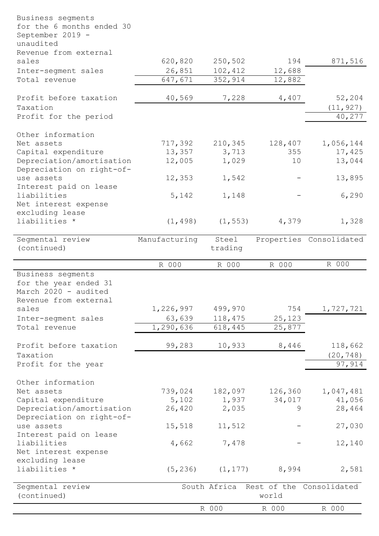| Business segments<br>for the 6 months ended 30 |               |          |         |                                       |
|------------------------------------------------|---------------|----------|---------|---------------------------------------|
| September 2019 -<br>unaudited                  |               |          |         |                                       |
| Revenue from external                          |               |          |         |                                       |
| sales                                          | 620,820       | 250,502  | 194     | 871,516                               |
| Inter-segment sales                            | 26,851        | 102,412  | 12,688  |                                       |
| Total revenue                                  | 647,671       | 352,914  | 12,882  |                                       |
| Profit before taxation                         | 40,569        | 7,228    | 4,407   | 52,204                                |
| Taxation                                       |               |          |         | (11, 927)                             |
| Profit for the period                          |               |          |         | 40,277                                |
| Other information                              |               |          |         |                                       |
| Net assets                                     | 717,392       | 210,345  | 128,407 | 1,056,144                             |
| Capital expenditure                            | 13,357        | 3,713    | 355     | 17,425                                |
| Depreciation/amortisation                      | 12,005        | 1,029    | 10      | 13,044                                |
| Depreciation on right-of-<br>use assets        | 12,353        | 1,542    |         | 13,895                                |
| Interest paid on lease                         |               |          |         |                                       |
| liabilities                                    | 5,142         | 1,148    |         | 6,290                                 |
| Net interest expense                           |               |          |         |                                       |
| excluding lease                                |               |          |         |                                       |
| liabilities *                                  | (1, 498)      | (1, 553) | 4,379   | 1,328                                 |
| Segmental review                               | Manufacturing | Steel    |         | Properties Consolidated               |
| (continued)                                    |               | trading  |         |                                       |
|                                                | R 000         | R 000    | R 000   | R 000                                 |
| Business segments<br>for the year ended 31     |               |          |         |                                       |
| March 2020 - audited                           |               |          |         |                                       |
| Revenue from external                          |               |          |         |                                       |
| sales                                          | 1,226,997     | 499,970  | 754     | 1,727,721                             |
| Inter-segment sales                            | 63,639        | 118,475  | 25,123  |                                       |
| Total revenue                                  | 1,290,636     | 618,445  | 25,877  |                                       |
| Profit before taxation                         | 99,283        | 10,933   | 8,446   | 118,662                               |
| Taxation                                       |               |          |         | (20, 748)                             |
| Profit for the year                            |               |          |         | 97,914                                |
| Other information                              |               |          |         |                                       |
| Net assets                                     | 739,024       | 182,097  | 126,360 | 1,047,481                             |
| Capital expenditure                            | 5,102         | 1,937    | 34,017  | 41,056                                |
| Depreciation/amortisation                      | 26,420        | 2,035    | 9       | 28,464                                |
| Depreciation on right-of-                      |               |          |         |                                       |
| use assets                                     | 15,518        | 11,512   |         | 27,030                                |
| Interest paid on lease                         |               |          |         |                                       |
| liabilities                                    | 4,662         | 7,478    |         | 12,140                                |
| Net interest expense                           |               |          |         |                                       |
| excluding lease                                |               |          |         |                                       |
| liabilities *                                  | (5, 236)      | (1, 177) | 8,994   | 2,581                                 |
| Segmental review                               |               |          |         | South Africa Rest of the Consolidated |
| (continued)                                    |               |          | world   |                                       |
|                                                |               | R 000    | R 000   | R 000                                 |

 $\overline{a}$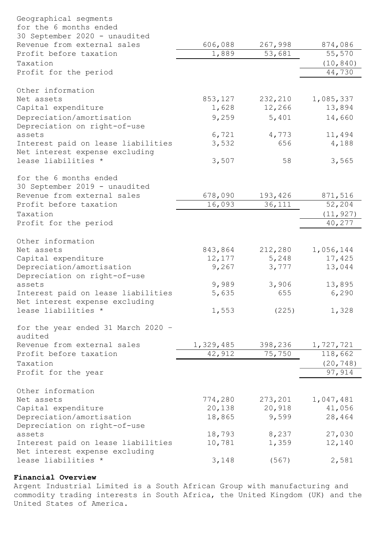| Geographical segments                                                |           |                   |                     |
|----------------------------------------------------------------------|-----------|-------------------|---------------------|
| for the 6 months ended                                               |           |                   |                     |
| 30 September 2020 - unaudited<br>Revenue from external sales         | 606,088   | 267,998           | 874,086             |
| Profit before taxation                                               | 1,889     | 53,681            | 55,570              |
| Taxation                                                             |           |                   | (10, 840)           |
| Profit for the period                                                |           |                   | 44,730              |
|                                                                      |           |                   |                     |
| Other information                                                    |           |                   |                     |
| Net assets                                                           | 853,127   | 232,210           | 1,085,337           |
| Capital expenditure                                                  | 1,628     | 12,266            | 13,894              |
| Depreciation/amortisation                                            | 9,259     | 5,401             | 14,660              |
| Depreciation on right-of-use                                         |           |                   |                     |
| assets                                                               | 6,721     | 4,773             | 11,494              |
| Interest paid on lease liabilities                                   | 3,532     | 656               | 4,188               |
| Net interest expense excluding                                       |           |                   |                     |
| lease liabilities *                                                  | 3,507     | 58                | 3,565               |
| for the 6 months ended                                               |           |                   |                     |
| 30 September 2019 - unaudited                                        |           |                   |                     |
| Revenue from external sales                                          | 678,090   | 193,426           | 871,516             |
| Profit before taxation                                               | 16,093    | 36,111            | 52,204              |
| Taxation                                                             |           |                   | (11, 927)           |
| Profit for the period                                                |           |                   | 40,277              |
|                                                                      |           |                   |                     |
| Other information                                                    |           |                   |                     |
| Net assets                                                           | 843,864   | 212,280           | 1,056,144           |
| Capital expenditure                                                  | 12,177    | 5,248             | 17,425              |
| Depreciation/amortisation                                            | 9,267     | 3,777             | 13,044              |
| Depreciation on right-of-use                                         |           |                   |                     |
| assets                                                               | 9,989     | 3,906             | 13,895              |
| Interest paid on lease liabilities<br>Net interest expense excluding | 5,635     | 655               | 6,290               |
| lease liabilities *                                                  | 1,553     | (225)             | 1,328               |
|                                                                      |           |                   |                     |
| for the year ended 31 March 2020 -                                   |           |                   |                     |
| audited                                                              |           |                   |                     |
| Revenue from external sales                                          | 1,329,485 | 398,236           | 1,727,721           |
| Profit before taxation                                               | 42,912    | 75,750            | 118,662             |
| Taxation                                                             |           |                   | (20, 748)           |
| Profit for the year                                                  |           |                   | 97,914              |
|                                                                      |           |                   |                     |
| Other information<br>Net assets                                      | 774,280   |                   |                     |
| Capital expenditure                                                  | 20,138    | 273,201<br>20,918 | 1,047,481<br>41,056 |
| Depreciation/amortisation                                            | 18,865    | 9,599             | 28,464              |
| Depreciation on right-of-use                                         |           |                   |                     |
| assets                                                               | 18,793    | 8,237             | 27,030              |
| Interest paid on lease liabilities                                   | 10,781    | 1,359             | 12,140              |
| Net interest expense excluding                                       |           |                   |                     |
| lease liabilities *                                                  | 3,148     | (567)             | 2,581               |
|                                                                      |           |                   |                     |

# Financial Overview

Argent Industrial Limited is a South African Group with manufacturing and commodity trading interests in South Africa, the United Kingdom (UK) and the United States of America.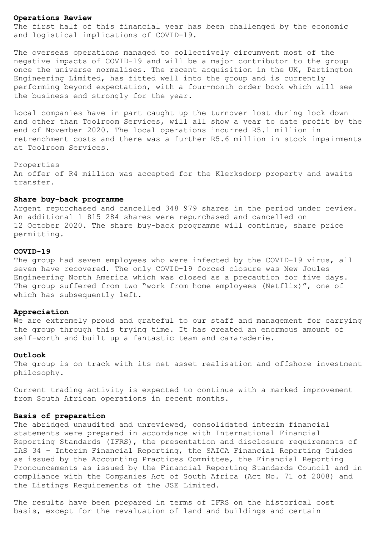### Operations Review

The first half of this financial year has been challenged by the economic and logistical implications of COVID-19.

The overseas operations managed to collectively circumvent most of the negative impacts of COVID-19 and will be a major contributor to the group once the universe normalises. The recent acquisition in the UK, Partington Engineering Limited, has fitted well into the group and is currently performing beyond expectation, with a four-month order book which will see the business end strongly for the year.

Local companies have in part caught up the turnover lost during lock down and other than Toolroom Services, will all show a year to date profit by the end of November 2020. The local operations incurred R5.1 million in retrenchment costs and there was a further R5.6 million in stock impairments at Toolroom Services.

### Properties

An offer of R4 million was accepted for the Klerksdorp property and awaits transfer.

### Share buy-back programme

Argent repurchased and cancelled 348 979 shares in the period under review. An additional 1 815 284 shares were repurchased and cancelled on 12 October 2020. The share buy-back programme will continue, share price permitting.

#### COVID-19

The group had seven employees who were infected by the COVID-19 virus, all seven have recovered. The only COVID-19 forced closure was New Joules Engineering North America which was closed as a precaution for five days. The group suffered from two "work from home employees (Netflix)", one of which has subsequently left.

### Appreciation

We are extremely proud and grateful to our staff and management for carrying the group through this trying time. It has created an enormous amount of self-worth and built up a fantastic team and camaraderie.

#### Outlook

The group is on track with its net asset realisation and offshore investment philosophy.

Current trading activity is expected to continue with a marked improvement from South African operations in recent months.

### Basis of preparation

The abridged unaudited and unreviewed, consolidated interim financial statements were prepared in accordance with International Financial Reporting Standards (IFRS), the presentation and disclosure requirements of IAS 34 – Interim Financial Reporting, the SAICA Financial Reporting Guides as issued by the Accounting Practices Committee, the Financial Reporting Pronouncements as issued by the Financial Reporting Standards Council and in compliance with the Companies Act of South Africa (Act No. 71 of 2008) and the Listings Requirements of the JSE Limited.

The results have been prepared in terms of IFRS on the historical cost basis, except for the revaluation of land and buildings and certain